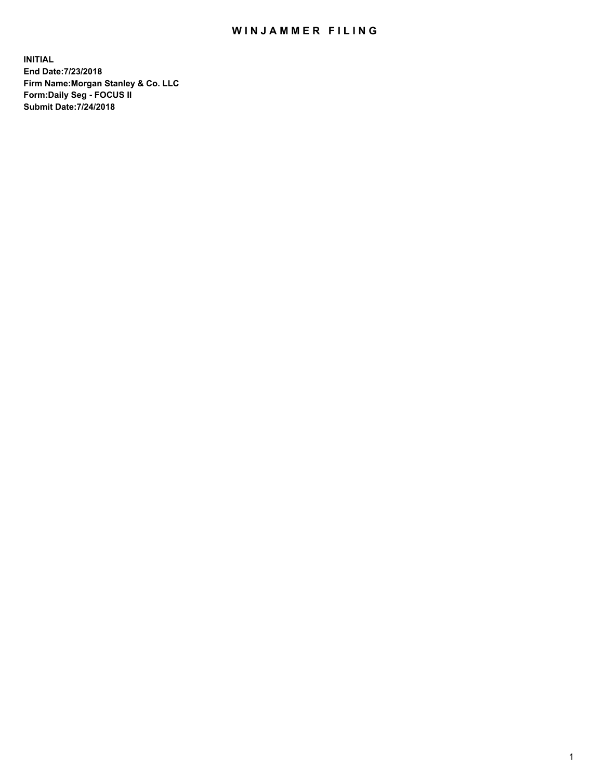## WIN JAMMER FILING

**INITIAL End Date:7/23/2018 Firm Name:Morgan Stanley & Co. LLC Form:Daily Seg - FOCUS II Submit Date:7/24/2018**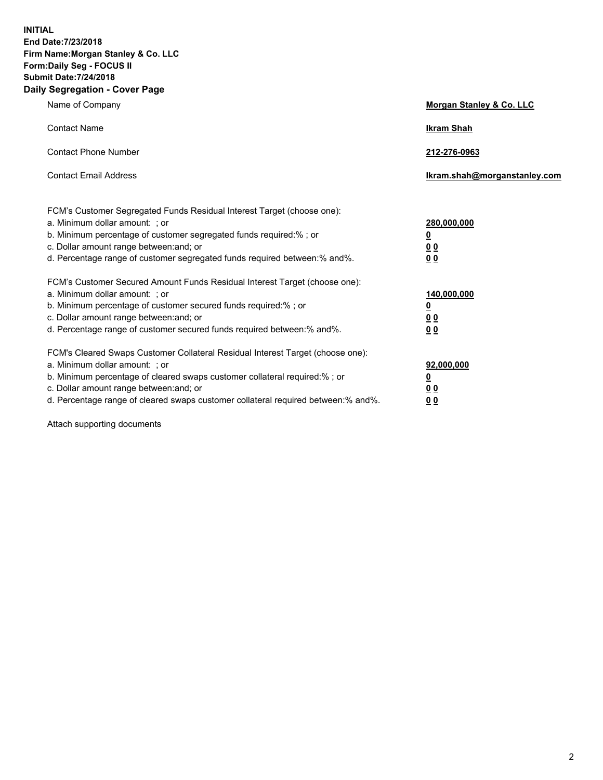**INITIAL End Date:7/23/2018 Firm Name:Morgan Stanley & Co. LLC Form:Daily Seg - FOCUS II Submit Date:7/24/2018 Daily Segregation - Cover Page**

| Name of Company                                                                                                        | Morgan Stanley & Co. LLC     |
|------------------------------------------------------------------------------------------------------------------------|------------------------------|
| <b>Contact Name</b>                                                                                                    | <b>Ikram Shah</b>            |
| <b>Contact Phone Number</b>                                                                                            | 212-276-0963                 |
| <b>Contact Email Address</b>                                                                                           | Ikram.shah@morganstanley.com |
| FCM's Customer Segregated Funds Residual Interest Target (choose one):                                                 |                              |
| a. Minimum dollar amount: ; or                                                                                         | 280,000,000                  |
| b. Minimum percentage of customer segregated funds required:% ; or                                                     | <u>0</u>                     |
| c. Dollar amount range between: and; or<br>d. Percentage range of customer segregated funds required between: % and %. | <u>0 0</u><br>0 Q            |
| FCM's Customer Secured Amount Funds Residual Interest Target (choose one):                                             |                              |
| a. Minimum dollar amount: ; or                                                                                         | 140,000,000                  |
| b. Minimum percentage of customer secured funds required:%; or                                                         | <u>0</u>                     |
| c. Dollar amount range between: and; or                                                                                | 0 <sub>0</sub>               |
| d. Percentage range of customer secured funds required between:% and%.                                                 | 0 <sub>0</sub>               |
| FCM's Cleared Swaps Customer Collateral Residual Interest Target (choose one):                                         |                              |
| a. Minimum dollar amount: ; or                                                                                         | 92,000,000                   |
| b. Minimum percentage of cleared swaps customer collateral required:% ; or                                             | <u>0</u>                     |
| c. Dollar amount range between: and; or                                                                                | 0 Q                          |
| d. Percentage range of cleared swaps customer collateral required between:% and%.                                      | 00                           |

Attach supporting documents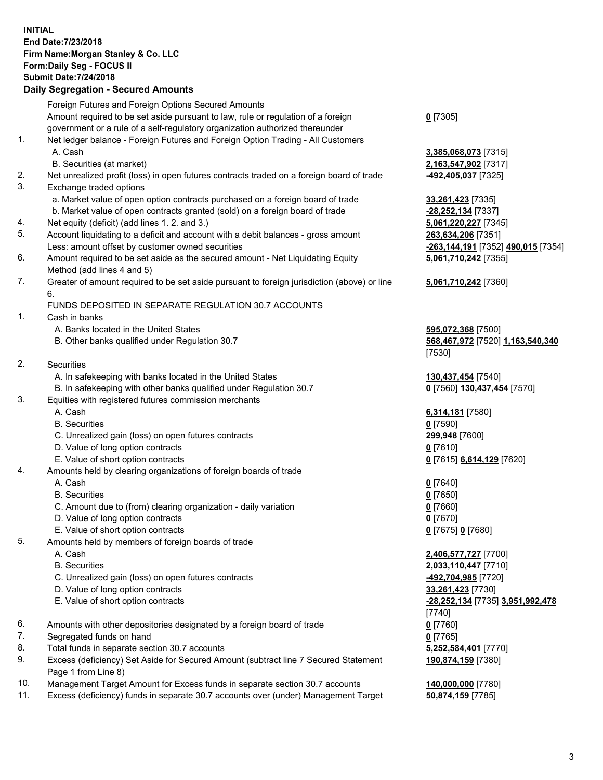## **INITIAL End Date:7/23/2018 Firm Name:Morgan Stanley & Co. LLC Form:Daily Seg - FOCUS II Submit Date:7/24/2018**

## **Daily Segregation - Secured Amounts**

|          | Foreign Futures and Foreign Options Secured Amounts                                                                                                            |                                                        |
|----------|----------------------------------------------------------------------------------------------------------------------------------------------------------------|--------------------------------------------------------|
|          | Amount required to be set aside pursuant to law, rule or regulation of a foreign                                                                               | $0$ [7305]                                             |
|          | government or a rule of a self-regulatory organization authorized thereunder                                                                                   |                                                        |
| 1.       | Net ledger balance - Foreign Futures and Foreign Option Trading - All Customers                                                                                |                                                        |
|          | A. Cash                                                                                                                                                        | 3,385,068,073 [7315]                                   |
|          | B. Securities (at market)                                                                                                                                      | 2,163,547,902 [7317]                                   |
| 2.       | Net unrealized profit (loss) in open futures contracts traded on a foreign board of trade                                                                      | <u>-492,405,037</u> [7325]                             |
| 3.       | Exchange traded options                                                                                                                                        |                                                        |
|          | a. Market value of open option contracts purchased on a foreign board of trade<br>b. Market value of open contracts granted (sold) on a foreign board of trade | 33,261,423 [7335]                                      |
|          |                                                                                                                                                                | -28,252,134 [7337]                                     |
| 4.<br>5. | Net equity (deficit) (add lines 1.2. and 3.)<br>Account liquidating to a deficit and account with a debit balances - gross amount                              | 5,061,220,227 [7345]                                   |
|          | Less: amount offset by customer owned securities                                                                                                               | 263,634,206 [7351]                                     |
| 6.       | Amount required to be set aside as the secured amount - Net Liquidating Equity                                                                                 | <mark>-263,144,191</mark> [7352] <b>490,015</b> [7354] |
|          | Method (add lines 4 and 5)                                                                                                                                     | 5,061,710,242 [7355]                                   |
| 7.       | Greater of amount required to be set aside pursuant to foreign jurisdiction (above) or line                                                                    | 5,061,710,242 [7360]                                   |
|          | 6.                                                                                                                                                             |                                                        |
|          | FUNDS DEPOSITED IN SEPARATE REGULATION 30.7 ACCOUNTS                                                                                                           |                                                        |
| 1.       | Cash in banks                                                                                                                                                  |                                                        |
|          | A. Banks located in the United States                                                                                                                          | 595,072,368 [7500]                                     |
|          | B. Other banks qualified under Regulation 30.7                                                                                                                 | 568,467,972 [7520] 1,163,540,340                       |
|          |                                                                                                                                                                | [7530]                                                 |
| 2.       | Securities                                                                                                                                                     |                                                        |
|          | A. In safekeeping with banks located in the United States                                                                                                      | 130,437,454 [7540]                                     |
|          | B. In safekeeping with other banks qualified under Regulation 30.7                                                                                             | 0 [7560] 130,437,454 [7570]                            |
| 3.       | Equities with registered futures commission merchants                                                                                                          |                                                        |
|          | A. Cash                                                                                                                                                        | 6,314,181 [7580]                                       |
|          | <b>B.</b> Securities                                                                                                                                           | $0$ [7590]                                             |
|          | C. Unrealized gain (loss) on open futures contracts                                                                                                            | 299,948 [7600]                                         |
|          | D. Value of long option contracts                                                                                                                              | $0$ [7610]                                             |
|          | E. Value of short option contracts                                                                                                                             | 0 [7615] 6,614,129 [7620]                              |
| 4.       | Amounts held by clearing organizations of foreign boards of trade                                                                                              |                                                        |
|          | A. Cash                                                                                                                                                        | $0$ [7640]                                             |
|          | <b>B.</b> Securities                                                                                                                                           | $0$ [7650]                                             |
|          | C. Amount due to (from) clearing organization - daily variation                                                                                                | $0$ [7660]                                             |
|          | D. Value of long option contracts                                                                                                                              | $0$ [7670]                                             |
|          | E. Value of short option contracts                                                                                                                             | 0 [7675] 0 [7680]                                      |
| 5.       | Amounts held by members of foreign boards of trade                                                                                                             |                                                        |
|          | A. Cash                                                                                                                                                        | 2,406,577,727 [7700]                                   |
|          | <b>B.</b> Securities                                                                                                                                           | 2,033,110,447 [7710]                                   |
|          | C. Unrealized gain (loss) on open futures contracts                                                                                                            | -492,704,985 [7720]                                    |
|          | D. Value of long option contracts                                                                                                                              | 33,261,423 [7730]                                      |
|          | E. Value of short option contracts                                                                                                                             | -28,252,134 [7735] 3,951,992,478<br>[7740]             |
| 6.       | Amounts with other depositories designated by a foreign board of trade                                                                                         | $0$ [7760]                                             |
| 7.       | Segregated funds on hand                                                                                                                                       | $0$ [7765]                                             |
| 8.       | Total funds in separate section 30.7 accounts                                                                                                                  | 5,252,584,401 [7770]                                   |
| 9.       | Excess (deficiency) Set Aside for Secured Amount (subtract line 7 Secured Statement                                                                            | 190,874,159 [7380]                                     |
|          | Page 1 from Line 8)                                                                                                                                            |                                                        |
| 10.      | Management Target Amount for Excess funds in separate section 30.7 accounts                                                                                    | 140,000,000 [7780]                                     |

11. Excess (deficiency) funds in separate 30.7 accounts over (under) Management Target **50,874,159** [7785]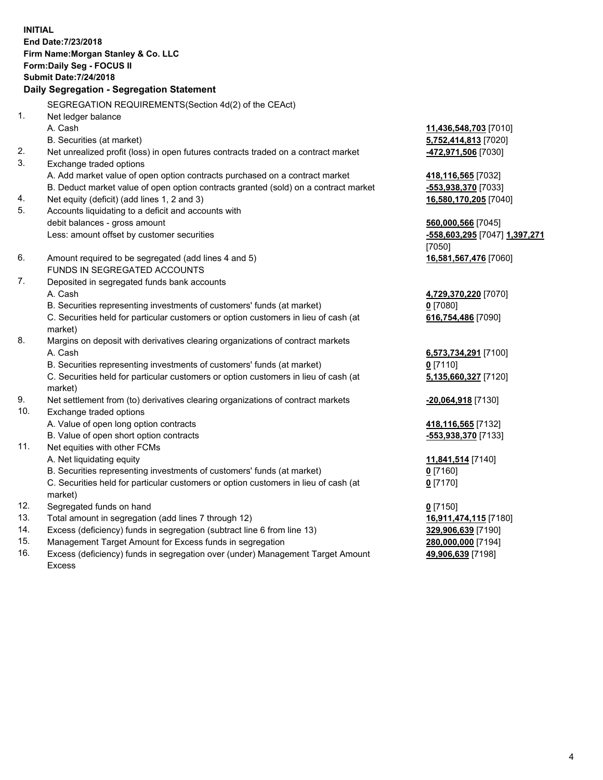**INITIAL End Date:7/23/2018 Firm Name:Morgan Stanley & Co. LLC Form:Daily Seg - FOCUS II Submit Date:7/24/2018 Daily Segregation - Segregation Statement** SEGREGATION REQUIREMENTS(Section 4d(2) of the CEAct) 1. Net ledger balance A. Cash **11,436,548,703** [7010] B. Securities (at market) **5,752,414,813** [7020] 2. Net unrealized profit (loss) in open futures contracts traded on a contract market **-472,971,506** [7030] 3. Exchange traded options A. Add market value of open option contracts purchased on a contract market **418,116,565** [7032] B. Deduct market value of open option contracts granted (sold) on a contract market **-553,938,370** [7033] 4. Net equity (deficit) (add lines 1, 2 and 3) **16,580,170,205** [7040] 5. Accounts liquidating to a deficit and accounts with debit balances - gross amount **560,000,566** [7045] Less: amount offset by customer securities **-558,603,295** [7047] **1,397,271** [7050] 6. Amount required to be segregated (add lines 4 and 5) **16,581,567,476** [7060] FUNDS IN SEGREGATED ACCOUNTS 7. Deposited in segregated funds bank accounts A. Cash **4,729,370,220** [7070] B. Securities representing investments of customers' funds (at market) **0** [7080] C. Securities held for particular customers or option customers in lieu of cash (at market) **616,754,486** [7090] 8. Margins on deposit with derivatives clearing organizations of contract markets A. Cash **6,573,734,291** [7100] B. Securities representing investments of customers' funds (at market) **0** [7110] C. Securities held for particular customers or option customers in lieu of cash (at market) **5,135,660,327** [7120] 9. Net settlement from (to) derivatives clearing organizations of contract markets **-20,064,918** [7130] 10. Exchange traded options A. Value of open long option contracts **418,116,565** [7132] B. Value of open short option contracts **-553,938,370** [7133] 11. Net equities with other FCMs A. Net liquidating equity **11,841,514** [7140] B. Securities representing investments of customers' funds (at market) **0** [7160] C. Securities held for particular customers or option customers in lieu of cash (at market) **0** [7170] 12. Segregated funds on hand **0** [7150] 13. Total amount in segregation (add lines 7 through 12) **16,911,474,115** [7180] 14. Excess (deficiency) funds in segregation (subtract line 6 from line 13) **329,906,639** [7190]

- 15. Management Target Amount for Excess funds in segregation **280,000,000** [7194]
- 16. Excess (deficiency) funds in segregation over (under) Management Target Amount Excess

**49,906,639** [7198]